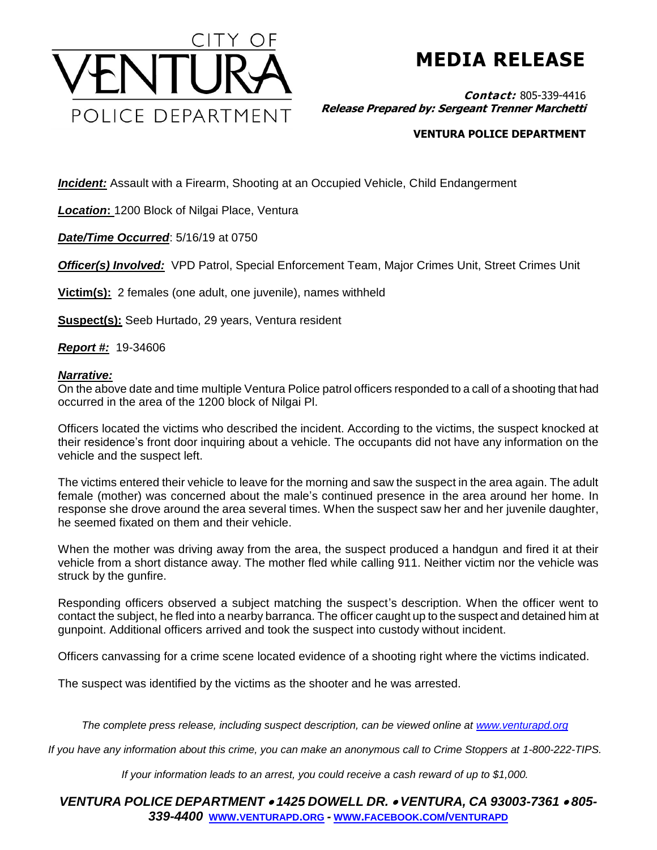

**MEDIA RELEASE**

**Contact:** 805-339-4416 **Release Prepared by: Sergeant Trenner Marchetti**

## **VENTURA POLICE DEPARTMENT**

**Incident:** Assault with a Firearm, Shooting at an Occupied Vehicle, Child Endangerment

*Location***:** 1200 Block of Nilgai Place, Ventura

*Date/Time Occurred*: 5/16/19 at 0750

**Officer(s) Involved:** VPD Patrol, Special Enforcement Team, Major Crimes Unit, Street Crimes Unit

**Victim(s):** 2 females (one adult, one juvenile), names withheld

**Suspect(s):** Seeb Hurtado, 29 years, Ventura resident

*Report #:* 19-34606

## *Narrative:*

On the above date and time multiple Ventura Police patrol officers responded to a call of a shooting that had occurred in the area of the 1200 block of Nilgai Pl.

Officers located the victims who described the incident. According to the victims, the suspect knocked at their residence's front door inquiring about a vehicle. The occupants did not have any information on the vehicle and the suspect left.

The victims entered their vehicle to leave for the morning and saw the suspect in the area again. The adult female (mother) was concerned about the male's continued presence in the area around her home. In response she drove around the area several times. When the suspect saw her and her juvenile daughter, he seemed fixated on them and their vehicle.

When the mother was driving away from the area, the suspect produced a handgun and fired it at their vehicle from a short distance away. The mother fled while calling 911. Neither victim nor the vehicle was struck by the gunfire.

Responding officers observed a subject matching the suspect's description. When the officer went to contact the subject, he fled into a nearby barranca. The officer caught up to the suspect and detained him at gunpoint. Additional officers arrived and took the suspect into custody without incident.

Officers canvassing for a crime scene located evidence of a shooting right where the victims indicated.

The suspect was identified by the victims as the shooter and he was arrested.

*The complete press release, including suspect description, can be viewed online at [www.venturapd.org](http://www.venturapd.org/)*

*If you have any information about this crime, you can make an anonymous call to Crime Stoppers at 1-800-222-TIPS.*

*If your information leads to an arrest, you could receive a cash reward of up to \$1,000.*

*VENTURA POLICE DEPARTMENT 1425 DOWELL DR. VENTURA, CA 93003-7361 805- 339-4400* **WWW.[VENTURAPD](http://www.venturapd.org/).ORG** *-* **WWW.FACEBOOK.COM/[VENTURAPD](http://www.facebook.com/venturapd)**